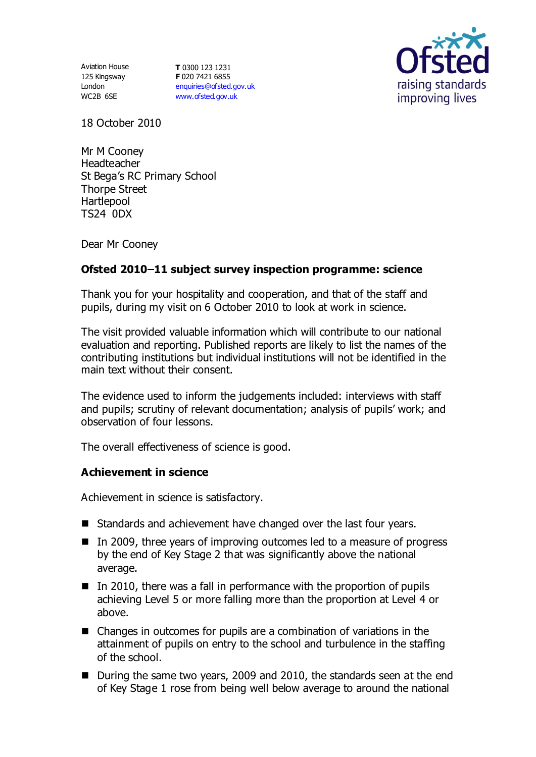125 Kingsway London WC2B 6SE

Aviation House **T** 0300 123 1231 **F** 020 7421 6855 [enquiries@ofsted.gov.uk](mailto:enquiries@ofsted.gov.uk) [www.ofsted.gov.uk](http://www.ofsted.gov.uk/)



18 October 2010

Mr M Cooney Headteacher St Bega's RC Primary School Thorpe Street Hartlepool TS24 0DX

Dear Mr Cooney

# **Ofsted 2010 11 subject survey inspection programme: science**

Thank you for your hospitality and cooperation, and that of the staff and pupils, during my visit on 6 October 2010 to look at work in science.

The visit provided valuable information which will contribute to our national evaluation and reporting. Published reports are likely to list the names of the contributing institutions but individual institutions will not be identified in the main text without their consent.

The evidence used to inform the judgements included: interviews with staff and pupils; scrutiny of relevant documentation; analysis of pupils' work; and observation of four lessons.

The overall effectiveness of science is good.

### **Achievement in science**

Achievement in science is satisfactory.

- Standards and achievement have changed over the last four years.
- In 2009, three years of improving outcomes led to a measure of progress by the end of Key Stage 2 that was significantly above the national average.
- $\blacksquare$  In 2010, there was a fall in performance with the proportion of pupils achieving Level 5 or more falling more than the proportion at Level 4 or above.
- Changes in outcomes for pupils are a combination of variations in the attainment of pupils on entry to the school and turbulence in the staffing of the school.
- During the same two years, 2009 and 2010, the standards seen at the end of Key Stage 1 rose from being well below average to around the national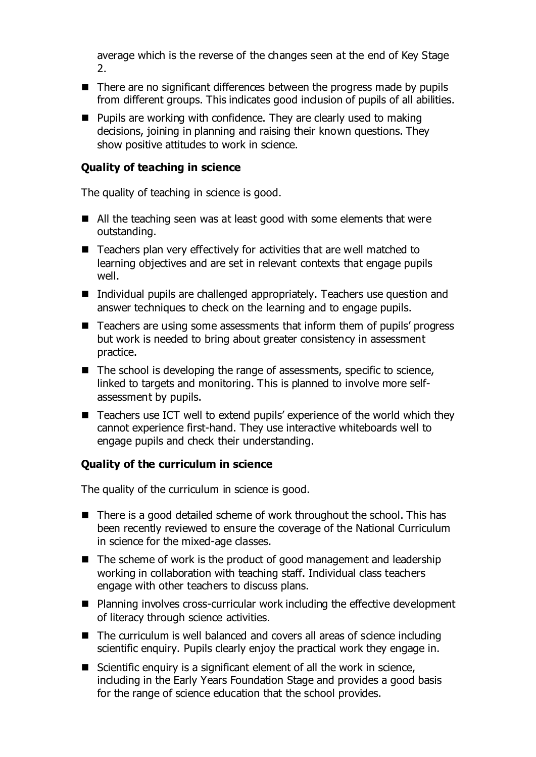average which is the reverse of the changes seen at the end of Key Stage 2.

- $\blacksquare$  There are no significant differences between the progress made by pupils from different groups. This indicates good inclusion of pupils of all abilities.
- $\blacksquare$  Pupils are working with confidence. They are clearly used to making decisions, joining in planning and raising their known questions. They show positive attitudes to work in science.

# **Quality of teaching in science**

The quality of teaching in science is good.

- All the teaching seen was at least good with some elements that were outstanding.
- Teachers plan very effectively for activities that are well matched to learning objectives and are set in relevant contexts that engage pupils well.
- Individual pupils are challenged appropriately. Teachers use question and answer techniques to check on the learning and to engage pupils.
- Teachers are using some assessments that inform them of pupils' progress but work is needed to bring about greater consistency in assessment practice.
- $\blacksquare$  The school is developing the range of assessments, specific to science, linked to targets and monitoring. This is planned to involve more selfassessment by pupils.
- Teachers use ICT well to extend pupils' experience of the world which they cannot experience first-hand. They use interactive whiteboards well to engage pupils and check their understanding.

### **Quality of the curriculum in science**

The quality of the curriculum in science is good.

- $\blacksquare$  There is a good detailed scheme of work throughout the school. This has been recently reviewed to ensure the coverage of the National Curriculum in science for the mixed-age classes.
- $\blacksquare$  The scheme of work is the product of good management and leadership working in collaboration with teaching staff. Individual class teachers engage with other teachers to discuss plans.
- Planning involves cross-curricular work including the effective development of literacy through science activities.
- The curriculum is well balanced and covers all areas of science including scientific enquiry. Pupils clearly enjoy the practical work they engage in.
- Scientific enquiry is a significant element of all the work in science, including in the Early Years Foundation Stage and provides a good basis for the range of science education that the school provides.